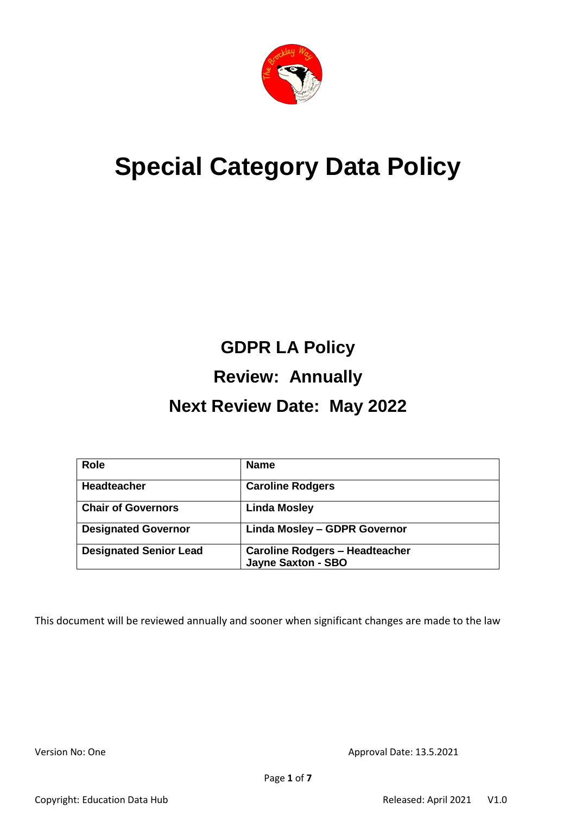

# **Special Category Data Policy**

# **GDPR LA Policy Review: Annually**

# **Next Review Date: May 2022**

| <b>Role</b>                   | <b>Name</b>                                                        |
|-------------------------------|--------------------------------------------------------------------|
| <b>Headteacher</b>            | <b>Caroline Rodgers</b>                                            |
| <b>Chair of Governors</b>     | <b>Linda Mosley</b>                                                |
| <b>Designated Governor</b>    | <b>Linda Mosley - GDPR Governor</b>                                |
| <b>Designated Senior Lead</b> | <b>Caroline Rodgers - Headteacher</b><br><b>Jayne Saxton - SBO</b> |

This document will be reviewed annually and sooner when significant changes are made to the law

Version No: One **Approval Date: 13.5.2021**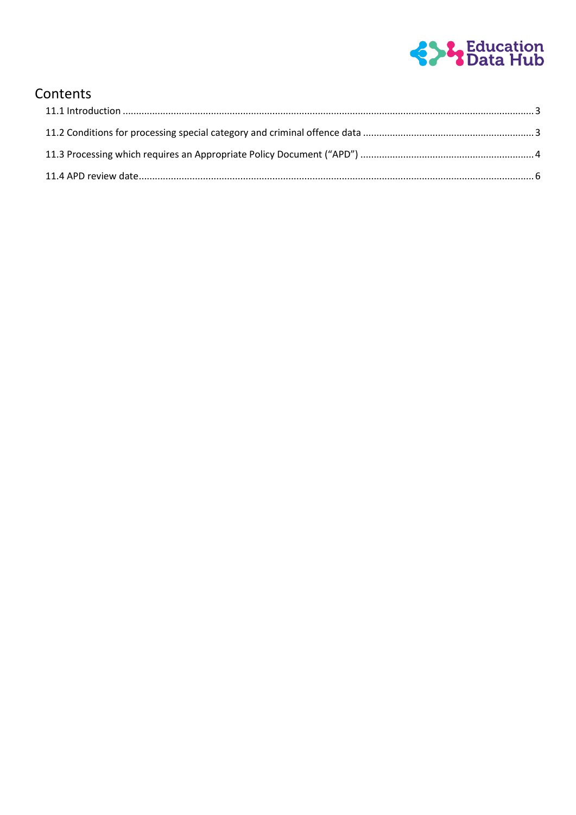

# Contents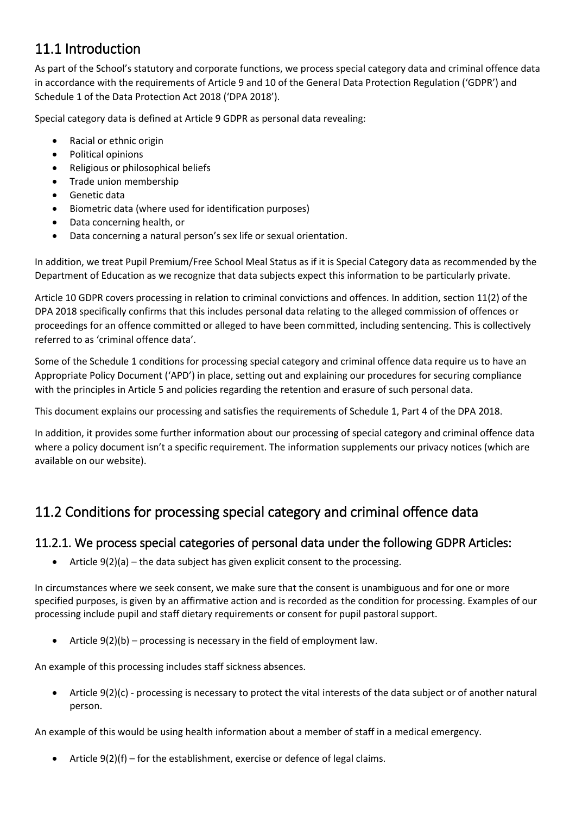# <span id="page-2-0"></span>11.1 Introduction

As part of the School's statutory and corporate functions, we process special category data and criminal offence data in accordance with the requirements of Article 9 and 10 of the General Data Protection Regulation ('GDPR') and Schedule 1 of the Data Protection Act 2018 ('DPA 2018').

Special category data is defined at Article 9 GDPR as personal data revealing:

- Racial or ethnic origin
- Political opinions
- Religious or philosophical beliefs
- Trade union membership
- Genetic data
- Biometric data (where used for identification purposes)
- Data concerning health, or
- Data concerning a natural person's sex life or sexual orientation.

In addition, we treat Pupil Premium/Free School Meal Status as if it is Special Category data as recommended by the Department of Education as we recognize that data subjects expect this information to be particularly private.

Article 10 GDPR covers processing in relation to criminal convictions and offences. In addition, section 11(2) of the DPA 2018 specifically confirms that this includes personal data relating to the alleged commission of offences or proceedings for an offence committed or alleged to have been committed, including sentencing. This is collectively referred to as 'criminal offence data'.

Some of the Schedule 1 conditions for processing special category and criminal offence data require us to have an Appropriate Policy Document ('APD') in place, setting out and explaining our procedures for securing compliance with the principles in Article 5 and policies regarding the retention and erasure of such personal data.

This document explains our processing and satisfies the requirements of Schedule 1, Part 4 of the DPA 2018.

In addition, it provides some further information about our processing of special category and criminal offence data where a policy document isn't a specific requirement. The information supplements our privacy notices (which are available on our website).

# <span id="page-2-1"></span>11.2 Conditions for processing special category and criminal offence data

## 11.2.1. We process special categories of personal data under the following GDPR Articles:

• Article  $9(2)(a)$  – the data subject has given explicit consent to the processing.

In circumstances where we seek consent, we make sure that the consent is unambiguous and for one or more specified purposes, is given by an affirmative action and is recorded as the condition for processing. Examples of our processing include pupil and staff dietary requirements or consent for pupil pastoral support.

Article 9(2)(b) – processing is necessary in the field of employment law.

An example of this processing includes staff sickness absences.

 Article 9(2)(c) - processing is necessary to protect the vital interests of the data subject or of another natural person.

An example of this would be using health information about a member of staff in a medical emergency.

Article 9(2)(f) – for the establishment, exercise or defence of legal claims.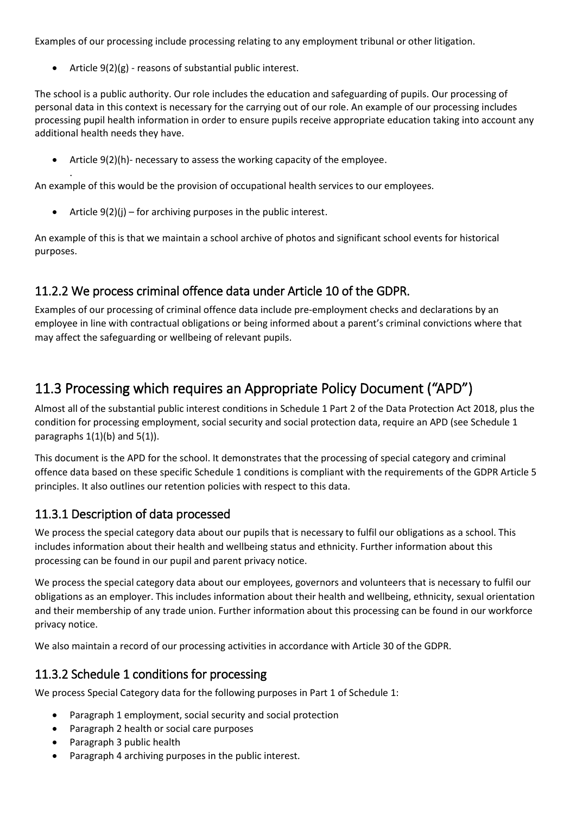Examples of our processing include processing relating to any employment tribunal or other litigation.

Article 9(2)(g) - reasons of substantial public interest.

.

The school is a public authority. Our role includes the education and safeguarding of pupils. Our processing of personal data in this context is necessary for the carrying out of our role. An example of our processing includes processing pupil health information in order to ensure pupils receive appropriate education taking into account any additional health needs they have.

Article 9(2)(h)- necessary to assess the working capacity of the employee.

An example of this would be the provision of occupational health services to our employees.

Article 9(2)(j) – for archiving purposes in the public interest.

An example of this is that we maintain a school archive of photos and significant school events for historical purposes.

## 11.2.2 We process criminal offence data under Article 10 of the GDPR.

Examples of our processing of criminal offence data include pre-employment checks and declarations by an employee in line with contractual obligations or being informed about a parent's criminal convictions where that may affect the safeguarding or wellbeing of relevant pupils.

# <span id="page-3-0"></span>11.3 Processing which requires an Appropriate Policy Document ("APD")

Almost all of the substantial public interest conditions in Schedule 1 Part 2 of the Data Protection Act 2018, plus the condition for processing employment, social security and social protection data, require an APD (see Schedule 1 paragraphs  $1(1)(b)$  and  $5(1)$ ).

This document is the APD for the school. It demonstrates that the processing of special category and criminal offence data based on these specific Schedule 1 conditions is compliant with the requirements of the GDPR Article 5 principles. It also outlines our retention policies with respect to this data.

## 11.3.1 Description of data processed

We process the special category data about our pupils that is necessary to fulfil our obligations as a school. This includes information about their health and wellbeing status and ethnicity. Further information about this processing can be found in our pupil and parent privacy notice.

We process the special category data about our employees, governors and volunteers that is necessary to fulfil our obligations as an employer. This includes information about their health and wellbeing, ethnicity, sexual orientation and their membership of any trade union. Further information about this processing can be found in our workforce privacy notice.

We also maintain a record of our processing activities in accordance with Article 30 of the GDPR.

## 11.3.2 Schedule 1 conditions for processing

We process Special Category data for the following purposes in Part 1 of Schedule 1:

- Paragraph 1 employment, social security and social protection
- Paragraph 2 health or social care purposes
- Paragraph 3 public health
- Paragraph 4 archiving purposes in the public interest.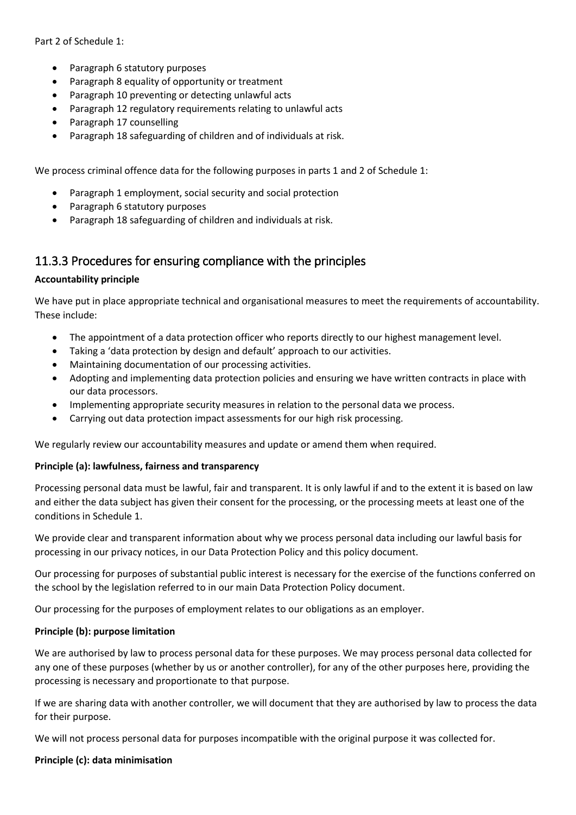- Paragraph 6 statutory purposes
- Paragraph 8 equality of opportunity or treatment
- Paragraph 10 preventing or detecting unlawful acts
- Paragraph 12 regulatory requirements relating to unlawful acts
- Paragraph 17 counselling
- Paragraph 18 safeguarding of children and of individuals at risk.

We process criminal offence data for the following purposes in parts 1 and 2 of Schedule 1:

- Paragraph 1 employment, social security and social protection
- Paragraph 6 statutory purposes
- Paragraph 18 safeguarding of children and individuals at risk.

### 11.3.3 Procedures for ensuring compliance with the principles

#### **Accountability principle**

We have put in place appropriate technical and organisational measures to meet the requirements of accountability. These include:

- The appointment of a data protection officer who reports directly to our highest management level.
- Taking a 'data protection by design and default' approach to our activities.
- Maintaining documentation of our processing activities.
- Adopting and implementing data protection policies and ensuring we have written contracts in place with our data processors.
- Implementing appropriate security measures in relation to the personal data we process.
- Carrying out data protection impact assessments for our high risk processing.

We regularly review our accountability measures and update or amend them when required.

#### **Principle (a): lawfulness, fairness and transparency**

Processing personal data must be lawful, fair and transparent. It is only lawful if and to the extent it is based on law and either the data subject has given their consent for the processing, or the processing meets at least one of the conditions in Schedule 1.

We provide clear and transparent information about why we process personal data including our lawful basis for processing in our privacy notices, in our Data Protection Policy and this policy document.

Our processing for purposes of substantial public interest is necessary for the exercise of the functions conferred on the school by the legislation referred to in our main Data Protection Policy document.

Our processing for the purposes of employment relates to our obligations as an employer.

#### **Principle (b): purpose limitation**

We are authorised by law to process personal data for these purposes. We may process personal data collected for any one of these purposes (whether by us or another controller), for any of the other purposes here, providing the processing is necessary and proportionate to that purpose.

If we are sharing data with another controller, we will document that they are authorised by law to process the data for their purpose.

We will not process personal data for purposes incompatible with the original purpose it was collected for.

#### **Principle (c): data minimisation**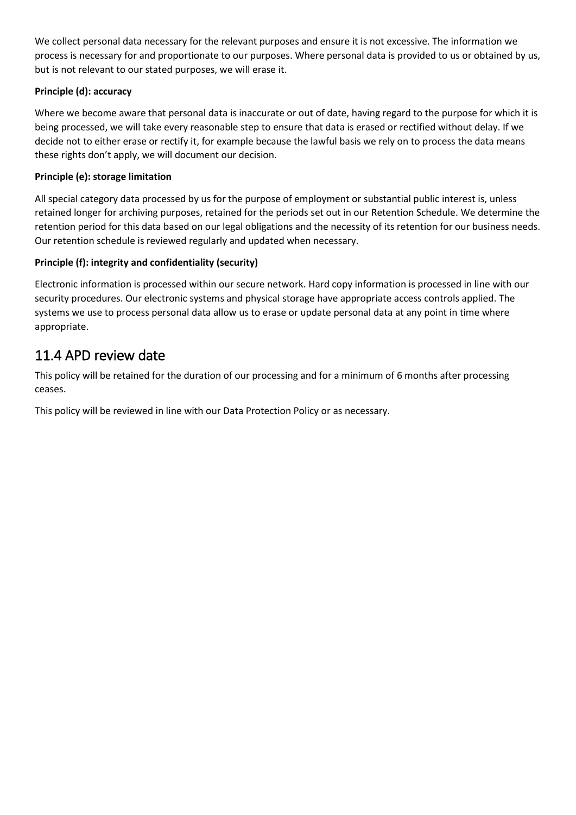We collect personal data necessary for the relevant purposes and ensure it is not excessive. The information we process is necessary for and proportionate to our purposes. Where personal data is provided to us or obtained by us, but is not relevant to our stated purposes, we will erase it.

### **Principle (d): accuracy**

Where we become aware that personal data is inaccurate or out of date, having regard to the purpose for which it is being processed, we will take every reasonable step to ensure that data is erased or rectified without delay. If we decide not to either erase or rectify it, for example because the lawful basis we rely on to process the data means these rights don't apply, we will document our decision.

#### **Principle (e): storage limitation**

All special category data processed by us for the purpose of employment or substantial public interest is, unless retained longer for archiving purposes, retained for the periods set out in our Retention Schedule. We determine the retention period for this data based on our legal obligations and the necessity of its retention for our business needs. Our retention schedule is reviewed regularly and updated when necessary.

#### **Principle (f): integrity and confidentiality (security)**

Electronic information is processed within our secure network. Hard copy information is processed in line with our security procedures. Our electronic systems and physical storage have appropriate access controls applied. The systems we use to process personal data allow us to erase or update personal data at any point in time where appropriate.

## <span id="page-5-0"></span>11.4 APD review date

This policy will be retained for the duration of our processing and for a minimum of 6 months after processing ceases.

This policy will be reviewed in line with our Data Protection Policy or as necessary.